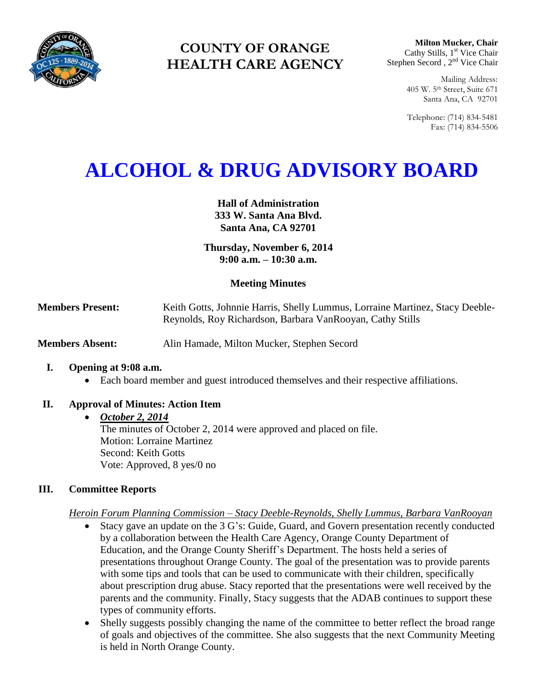

# **COUNTY OF ORANGE HEALTH CARE AGENCY**

**Milton Mucker, Chair** Cathy Stills, 1<sup>st</sup> Vice Chair Stephen Secord, 2<sup>nd</sup> Vice Chair

> Mailing Address: 405 W. 5th Street, Suite 671 Santa Ana, CA 92701

> Telephone: (714) 834-5481 Fax: (714) 834-5506

# **ALCOHOL & DRUG ADVISORY BOARD**

**Hall of Administration 333 W. Santa Ana Blvd. Santa Ana, CA 92701**

**Thursday, November 6, 2014 9:00 a.m. – 10:30 a.m.** 

# **Meeting Minutes**

**Members Present:** Keith Gotts, Johnnie Harris, Shelly Lummus, Lorraine Martinez, Stacy Deeble-Reynolds, Roy Richardson, Barbara VanRooyan, Cathy Stills

**Members Absent:** Alin Hamade, Milton Mucker, Stephen Secord

#### **I. Opening at 9:08 a.m.**

Each board member and guest introduced themselves and their respective affiliations.

# **II. Approval of Minutes: Action Item**

#### *October 2, 2014*

The minutes of October 2, 2014 were approved and placed on file. Motion: Lorraine Martinez Second: Keith Gotts Vote: Approved, 8 yes/0 no

# **III. Committee Reports**

#### *Heroin Forum Planning Commission – Stacy Deeble-Reynolds, Shelly Lummus, Barbara VanRooyan*

- Stacy gave an update on the 3 G's: Guide, Guard, and Govern presentation recently conducted by a collaboration between the Health Care Agency, Orange County Department of Education, and the Orange County Sheriff's Department. The hosts held a series of presentations throughout Orange County. The goal of the presentation was to provide parents with some tips and tools that can be used to communicate with their children, specifically about prescription drug abuse. Stacy reported that the presentations were well received by the parents and the community. Finally, Stacy suggests that the ADAB continues to support these types of community efforts.
- Shelly suggests possibly changing the name of the committee to better reflect the broad range of goals and objectives of the committee. She also suggests that the next Community Meeting is held in North Orange County.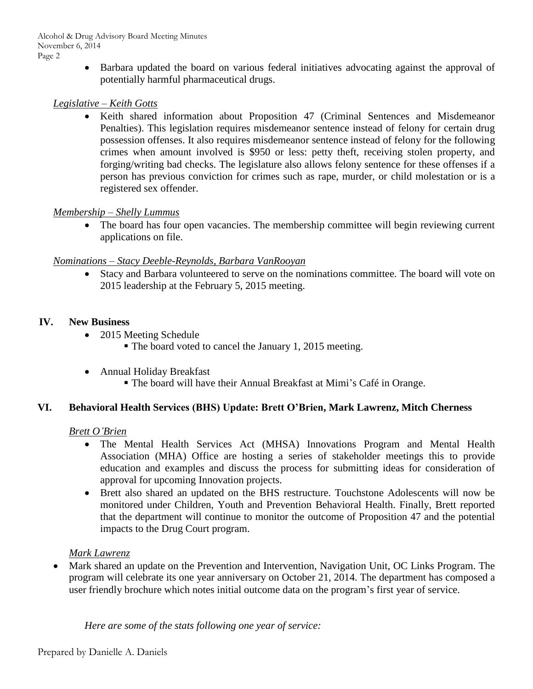Barbara updated the board on various federal initiatives advocating against the approval of potentially harmful pharmaceutical drugs.

# *Legislative – Keith Gotts*

 Keith shared information about Proposition 47 (Criminal Sentences and Misdemeanor Penalties). This legislation requires misdemeanor sentence instead of felony for certain drug possession offenses. It also requires misdemeanor sentence instead of felony for the following crimes when amount involved is \$950 or less: petty theft, receiving stolen property, and forging/writing bad checks. The legislature also allows felony sentence for these offenses if a person has previous conviction for crimes such as rape, murder, or child molestation or is a registered sex offender.

# *Membership – Shelly Lummus*

• The board has four open vacancies. The membership committee will begin reviewing current applications on file.

# *Nominations – Stacy Deeble-Reynolds, Barbara VanRooyan*

 Stacy and Barbara volunteered to serve on the nominations committee. The board will vote on 2015 leadership at the February 5, 2015 meeting.

# **IV. New Business**

- 2015 Meeting Schedule
	- The board voted to cancel the January 1, 2015 meeting.
- Annual Holiday Breakfast
	- The board will have their Annual Breakfast at Mimi's Café in Orange.

# **VI. Behavioral Health Services (BHS) Update: Brett O'Brien, Mark Lawrenz, Mitch Cherness**

# *Brett O'Brien*

- The Mental Health Services Act (MHSA) Innovations Program and Mental Health Association (MHA) Office are hosting a series of stakeholder meetings this to provide education and examples and discuss the process for submitting ideas for consideration of approval for upcoming Innovation projects.
- Brett also shared an updated on the BHS restructure. Touchstone Adolescents will now be monitored under Children, Youth and Prevention Behavioral Health. Finally, Brett reported that the department will continue to monitor the outcome of Proposition 47 and the potential impacts to the Drug Court program.

# *Mark Lawrenz*

 Mark shared an update on the Prevention and Intervention, Navigation Unit, OC Links Program. The program will celebrate its one year anniversary on October 21, 2014. The department has composed a user friendly brochure which notes initial outcome data on the program's first year of service.

*Here are some of the stats following one year of service:*